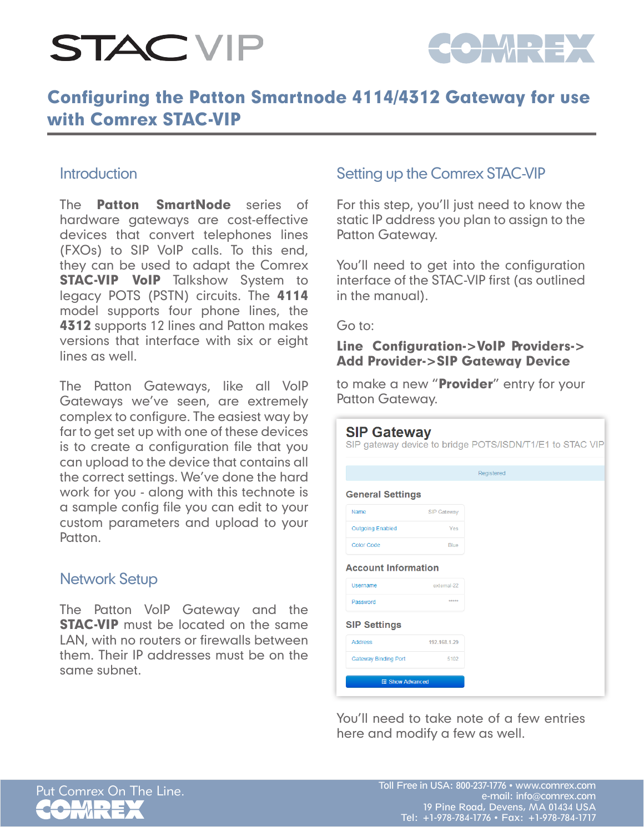

### Configuring the Patton Smartnode 4114/4312 Gateway for use with Comrex STAC-VIP

#### **Introduction**

The **Patton SmartNode** series of hardware gateways are cost-effective devices that convert telephones lines (FXOs) to SIP VoIP calls. To this end, they can be used to adapt the Comrex **STAC-VIP VoIP** Talkshow System to legacy POTS (PSTN) circuits. The 4114 model supports four phone lines, the **4312** supports 12 lines and Patton makes versions that interface with six or eight lines as well.

The Patton Gateways, like all VoIP Gateways we've seen, are extremely complex to configure. The easiest way by far to get set up with one of these devices is to create a configuration file that you can upload to the device that contains all the correct settings. We've done the hard work for you - along with this technote is a sample config file you can edit to your custom parameters and upload to your Patton.

#### Network Setup

The Patton VoIP Gateway and the **STAC-VIP** must be located on the same LAN, with no routers or firewalls between them. Their IP addresses must be on the same subnet.

#### Setting up the Comrex STAC-VIP

For this step, you'll just need to know the static IP address you plan to assign to the Patton Gateway.

You'll need to get into the configuration interface of the STAC-VIP first (as outlined in the manual).

Go to:

#### Line Configuration->VoIP Providers-> Add Provider->SIP Gateway Device

to make a new "Provider" entry for your Patton Gateway.

| <b>SIP Gateway</b>                     |                    | SIP gateway device to bridge POTS/ISDN/T1/E1 to STAC VIP |
|----------------------------------------|--------------------|----------------------------------------------------------|
|                                        |                    | Registered                                               |
| <b>General Settings</b>                |                    |                                                          |
| Name                                   | <b>SIP Gateway</b> |                                                          |
| <b>Outgoing Enabled</b>                | Yes                |                                                          |
| <b>Color Code</b>                      | <b>Blue</b>        |                                                          |
| <b>Account Information</b><br>Username | external-22        |                                                          |
| Password                               | *****              |                                                          |
| <b>SIP Settings</b>                    |                    |                                                          |
| <b>Address</b>                         | 192.168.1.29       |                                                          |
| <b>Gateway Binding Port</b>            | 5102               |                                                          |
| <b>图 Show Advanced</b>                 |                    |                                                          |

You'll need to take note of a few entries here and modify a few as well.

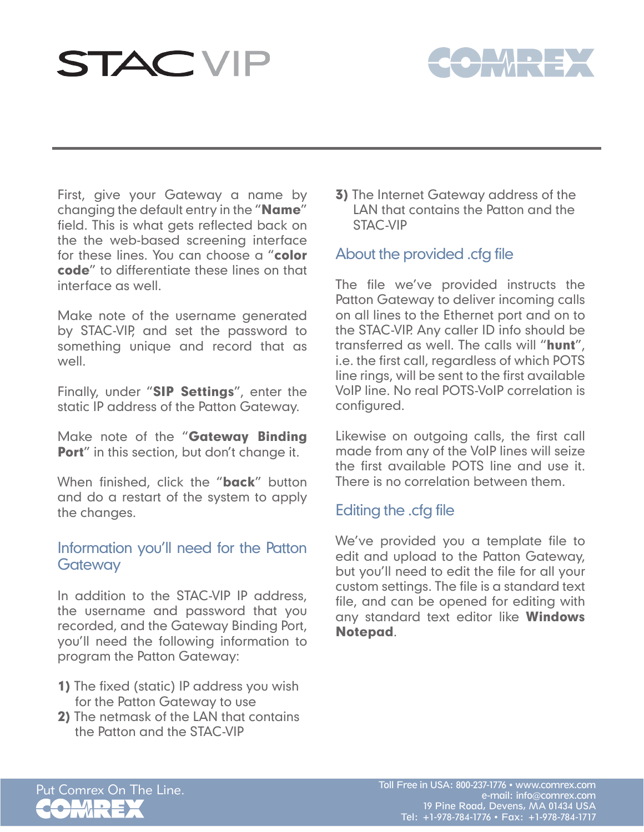

First, give your Gateway a name by changing the default entry in the "Name" field. This is what gets reflected back on the the web-based screening interface for these lines. You can choose a "color code" to differentiate these lines on that interface as well.

Make note of the username generated by STAC-VIP, and set the password to something unique and record that as well.

Finally, under "SIP Settings", enter the static IP address of the Patton Gateway.

Make note of the "Gateway Binding Port" in this section, but don't change it.

When finished, click the "**back**" button and do a restart of the system to apply the changes.

#### Information you'll need for the Patton **Gateway**

In addition to the STAC-VIP IP address, the username and password that you recorded, and the Gateway Binding Port, you'll need the following information to program the Patton Gateway:

- 1) The fixed (static) IP address you wish for the Patton Gateway to use
- 2) The netmask of the LAN that contains the Patton and the STAC-VIP

**3)** The Internet Gateway address of the LAN that contains the Patton and the STAC-VIP

#### About the provided .cfg file

The file we've provided instructs the Patton Gateway to deliver incoming calls on all lines to the Ethernet port and on to the STAC-VIP. Any caller ID info should be transferred as well. The calls will "hunt", i.e. the first call, regardless of which POTS line rings, will be sent to the first available VoIP line. No real POTS-VoIP correlation is configured.

Likewise on outgoing calls, the first call made from any of the VoIP lines will seize the first available POTS line and use it. There is no correlation between them.

### Editing the .cfg file

We've provided you a template file to edit and upload to the Patton Gateway, but you'll need to edit the file for all your custom settings. The file is a standard text file, and can be opened for editing with any standard text editor like **Windows** Notepad.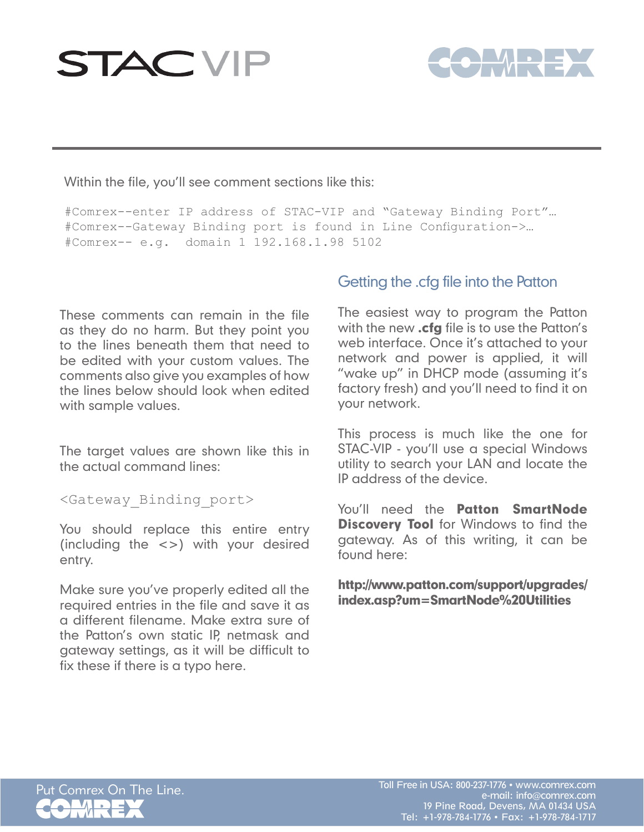

Within the file, you'll see comment sections like this:

#Comrex--enter IP address of STAC-VIP and "Gateway Binding Port"… #Comrex--Gateway Binding port is found in Line Configuration->… #Comrex-- e.g. domain 1 192.168.1.98 5102

These comments can remain in the file as they do no harm. But they point you to the lines beneath them that need to be edited with your custom values. The comments also give you examples of how the lines below should look when edited with sample values.

The target values are shown like this in the actual command lines:

<Gateway\_Binding\_port>

You should replace this entire entry (including the <>) with your desired entry.

Make sure you've properly edited all the required entries in the file and save it as a different filename. Make extra sure of the Patton's own static IP, netmask and gateway settings, as it will be difficult to fix these if there is a typo here.

### Getting the .cfg file into the Patton

The easiest way to program the Patton with the new .cfg file is to use the Patton's web interface. Once it's attached to your network and power is applied, it will "wake up" in DHCP mode (assuming it's factory fresh) and you'll need to find it on your network.

This process is much like the one for STAC-VIP - you'll use a special Windows utility to search your LAN and locate the IP address of the device.

You'll need the **Patton SmartNode Discovery Tool** for Windows to find the gateway. As of this writing, it can be found here:

http://www.patton.com/support/upgrades/ index.asp?um=SmartNode%20Utilities